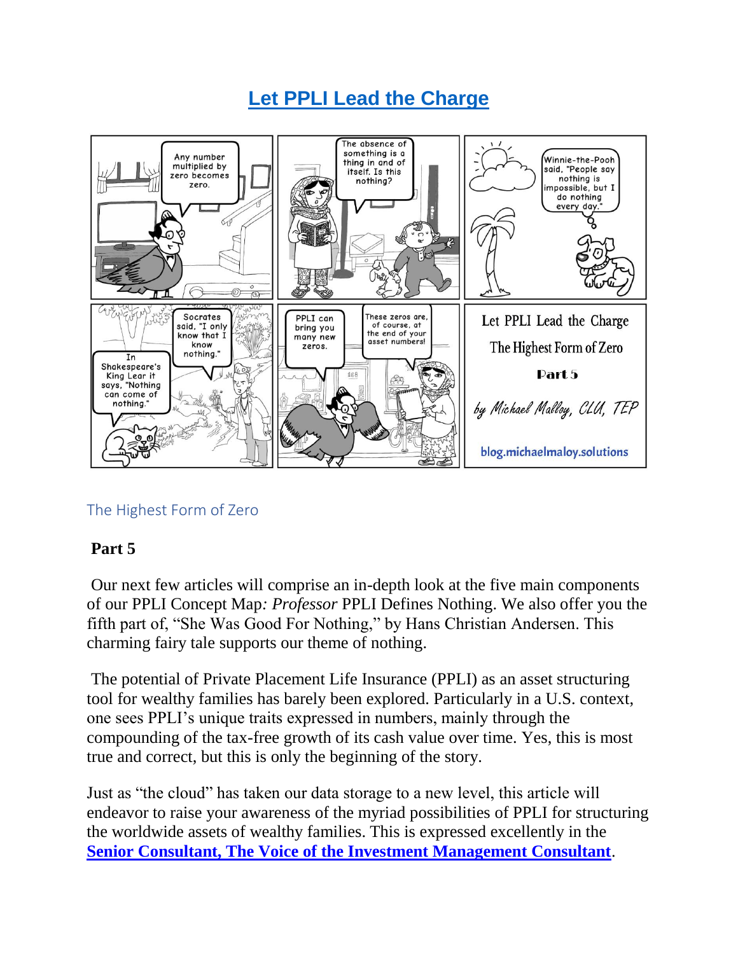# **[Let PPLI Lead the Charge](https://blog.michaelmalloy.solutions/let-ppli-lead-the-charge/)**



## The Highest Form of Zero

## **Part 5**

Our next few articles will comprise an in-depth look at the five main components of our PPLI Concept Map*: Professor* PPLI Defines Nothing. We also offer you the fifth part of, "She Was Good For Nothing," by Hans Christian Andersen. This charming fairy tale supports our theme of nothing.

The potential of Private Placement Life Insurance (PPLI) as an asset structuring tool for wealthy families has barely been explored. Particularly in a U.S. context, one sees PPLI's unique traits expressed in numbers, mainly through the compounding of the tax-free growth of its cash value over time. Yes, this is most true and correct, but this is only the beginning of the story.

Just as "the cloud" has taken our data storage to a new level, this article will endeavor to raise your awareness of the myriad possibilities of PPLI for structuring the worldwide assets of wealthy families. This is expressed excellently in the **[Senior Consultant, The Voice of the Investment Management Consultant](http://www.srconsultant.com/Articles/2004-04-Loury-Bruno-Gerrish-Lawson-PPLI.pdf)**.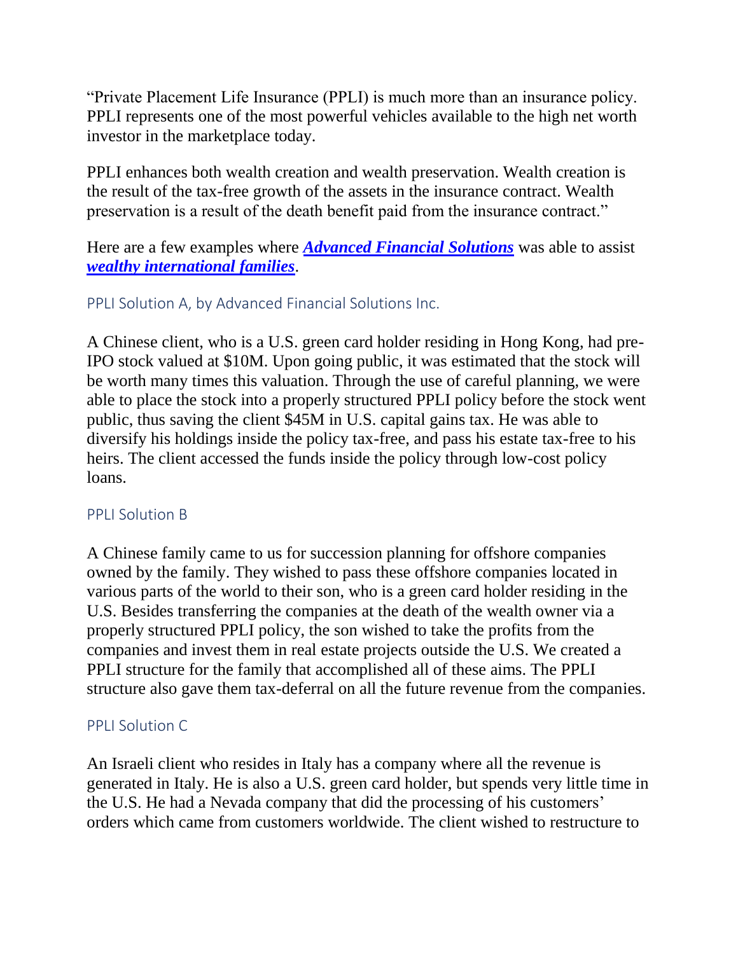"Private Placement Life Insurance (PPLI) is much more than an insurance policy. PPLI represents one of the most powerful vehicles available to the high net worth investor in the marketplace today.

PPLI enhances both wealth creation and wealth preservation. Wealth creation is the result of the tax-free growth of the assets in the insurance contract. Wealth preservation is a result of the death benefit paid from the insurance contract."

Here are a few examples where *[Advanced Financial Solutions](https://michaelmalloy.solutions/about-us/)* was able to assist *[wealthy international families](https://blog.michaelmalloy.solutions/ppli-for-wealthy-international-families/)*.

#### PPLI Solution A, by Advanced Financial Solutions Inc.

A Chinese client, who is a U.S. green card holder residing in Hong Kong, had pre-IPO stock valued at \$10M. Upon going public, it was estimated that the stock will be worth many times this valuation. Through the use of careful planning, we were able to place the stock into a properly structured PPLI policy before the stock went public, thus saving the client \$45M in U.S. capital gains tax. He was able to diversify his holdings inside the policy tax-free, and pass his estate tax-free to his heirs. The client accessed the funds inside the policy through low-cost policy loans.

#### PPLI Solution B

A Chinese family came to us for succession planning for offshore companies owned by the family. They wished to pass these offshore companies located in various parts of the world to their son, who is a green card holder residing in the U.S. Besides transferring the companies at the death of the wealth owner via a properly structured PPLI policy, the son wished to take the profits from the companies and invest them in real estate projects outside the U.S. We created a PPLI structure for the family that accomplished all of these aims. The PPLI structure also gave them tax-deferral on all the future revenue from the companies.

#### PPLI Solution C

An Israeli client who resides in Italy has a company where all the revenue is generated in Italy. He is also a U.S. green card holder, but spends very little time in the U.S. He had a Nevada company that did the processing of his customers' orders which came from customers worldwide. The client wished to restructure to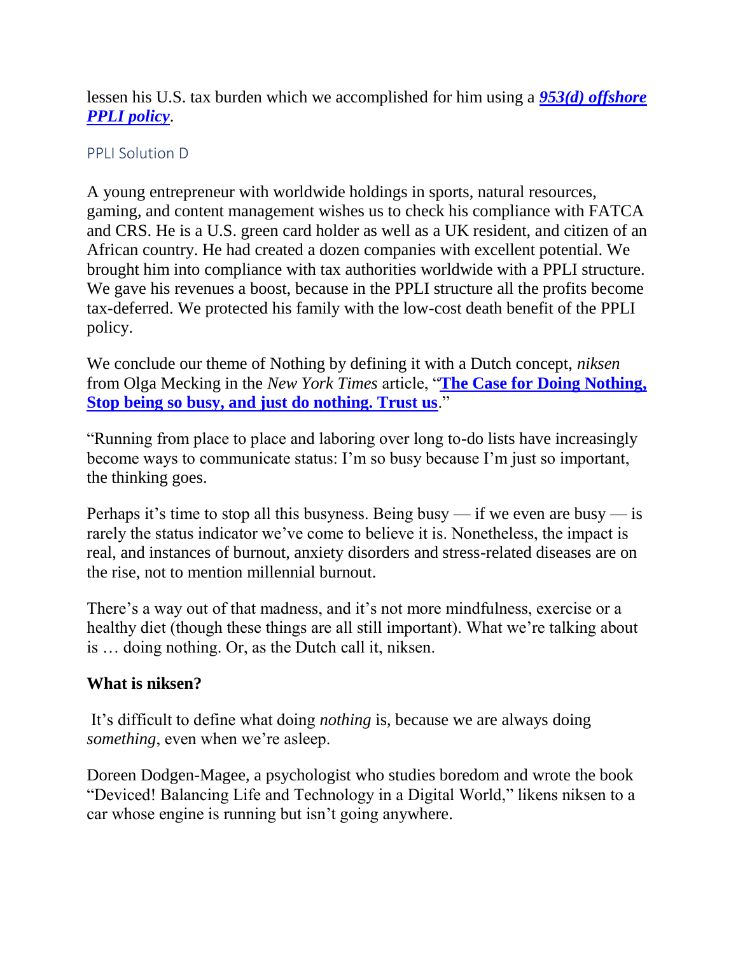lessen his U.S. tax burden which we accomplished for him using a *[953\(d\) offshore](https://blog.michaelmalloy.solutions/jurisdictions-are-key-to-non-953-d-policies/)  [PPLI policy](https://blog.michaelmalloy.solutions/jurisdictions-are-key-to-non-953-d-policies/)*.

#### PPLI Solution D

A young entrepreneur with worldwide holdings in sports, natural resources, gaming, and content management wishes us to check his compliance with FATCA and CRS. He is a U.S. green card holder as well as a UK resident, and citizen of an African country. He had created a dozen companies with excellent potential. We brought him into compliance with tax authorities worldwide with a PPLI structure. We gave his revenues a boost, because in the PPLI structure all the profits become tax-deferred. We protected his family with the low-cost death benefit of the PPLI policy.

We conclude our theme of Nothing by defining it with a Dutch concept, *niksen* from Olga Mecking in the *New York Times* article, "**[The Case for Doing Nothing,](https://www.nytimes.com/2019/04/29/smarter-living/the-case-for-doing-nothing.html)  [Stop being so busy, and just do nothing. Trust us](https://www.nytimes.com/2019/04/29/smarter-living/the-case-for-doing-nothing.html)**."

"Running from place to place and laboring over long to-do lists have increasingly become ways to communicate status: I'm so busy because I'm just so important, the thinking goes.

Perhaps it's time to stop all this busyness. Being busy — if we even are busy — is rarely the status indicator we've come to believe it is. Nonetheless, the impact is real, and instances of burnout, anxiety disorders and stress-related diseases are on the rise, not to mention millennial burnout.

There's a way out of that madness, and it's not more mindfulness, exercise or a healthy diet (though these things are all still important). What we're talking about is … doing nothing. Or, as the Dutch call it, niksen.

## **What is niksen?**

It's difficult to define what doing *nothing* is, because we are always doing *something*, even when we're asleep.

Doreen Dodgen-Magee, a psychologist who studies boredom and wrote the book "Deviced! Balancing Life and Technology in a Digital World," likens niksen to a car whose engine is running but isn't going anywhere.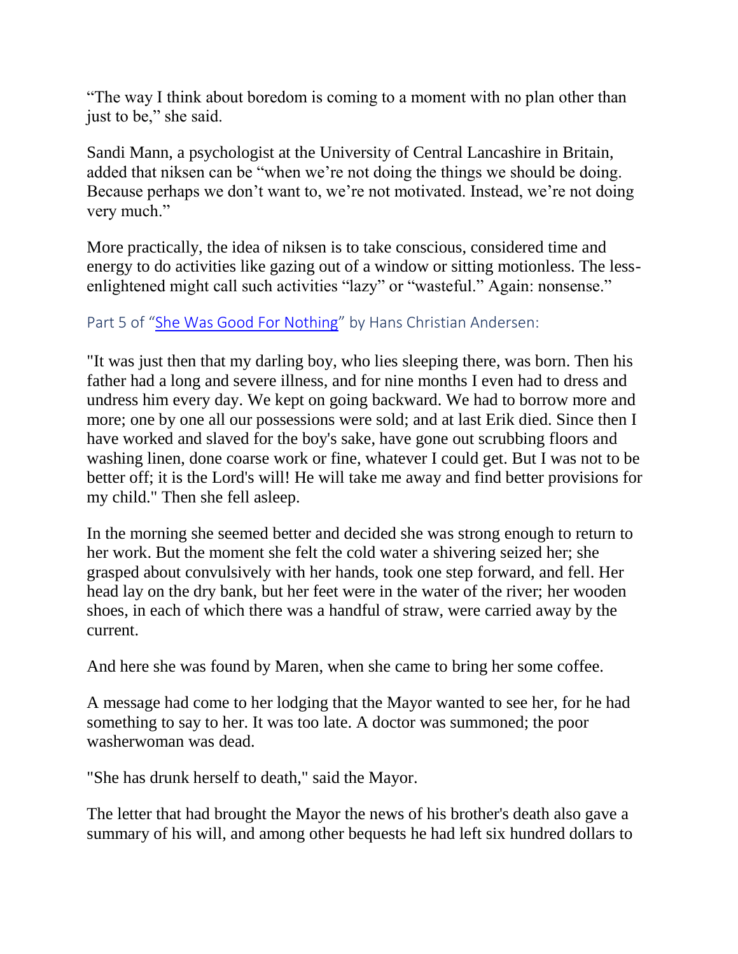"The way I think about boredom is coming to a moment with no plan other than just to be," she said.

Sandi Mann, a psychologist at the University of Central Lancashire in Britain, added that niksen can be "when we're not doing the things we should be doing. Because perhaps we don't want to, we're not motivated. Instead, we're not doing very much."

More practically, the idea of niksen is to take conscious, considered time and energy to do activities like gazing out of a window or sitting motionless. The lessenlightened might call such activities "lazy" or "wasteful." Again: nonsense."

## Part 5 of "[She Was Good For Nothing](http://www.mftd.org/index.php?action=story&id=2383)" by Hans Christian Andersen:

"It was just then that my darling boy, who lies sleeping there, was born. Then his father had a long and severe illness, and for nine months I even had to dress and undress him every day. We kept on going backward. We had to borrow more and more; one by one all our possessions were sold; and at last Erik died. Since then I have worked and slaved for the boy's sake, have gone out scrubbing floors and washing linen, done coarse work or fine, whatever I could get. But I was not to be better off; it is the Lord's will! He will take me away and find better provisions for my child." Then she fell asleep.

In the morning she seemed better and decided she was strong enough to return to her work. But the moment she felt the cold water a shivering seized her; she grasped about convulsively with her hands, took one step forward, and fell. Her head lay on the dry bank, but her feet were in the water of the river; her wooden shoes, in each of which there was a handful of straw, were carried away by the current.

And here she was found by Maren, when she came to bring her some coffee.

A message had come to her lodging that the Mayor wanted to see her, for he had something to say to her. It was too late. A doctor was summoned; the poor washerwoman was dead.

"She has drunk herself to death," said the Mayor.

The letter that had brought the Mayor the news of his brother's death also gave a summary of his will, and among other bequests he had left six hundred dollars to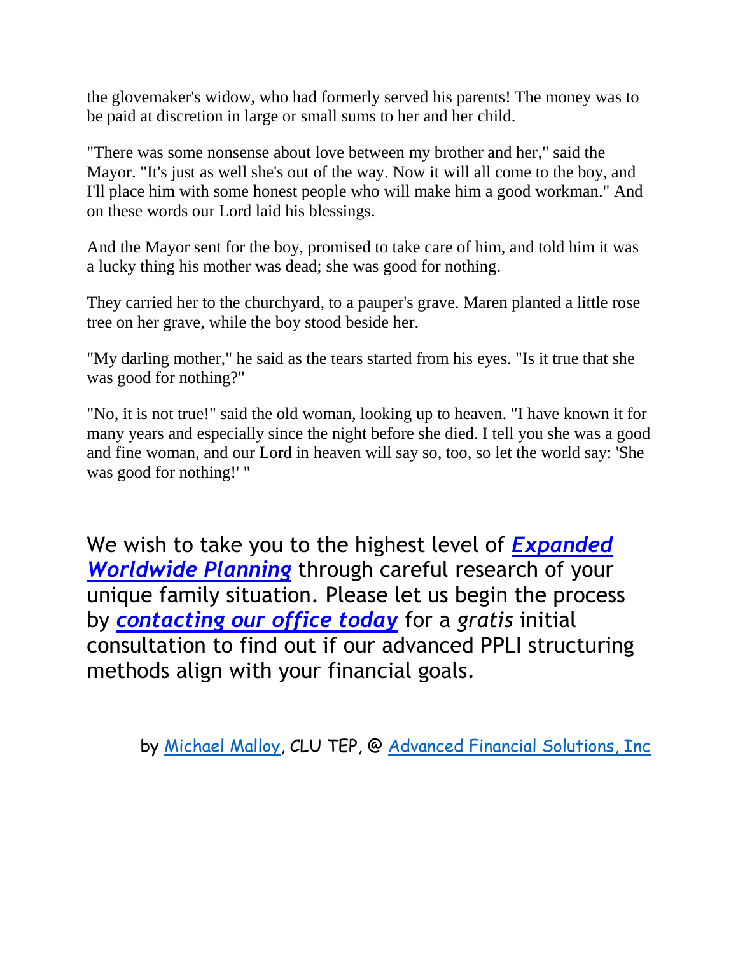the glovemaker's widow, who had formerly served his parents! The money was to be paid at discretion in large or small sums to her and her child.

"There was some nonsense about love between my brother and her," said the Mayor. "It's just as well she's out of the way. Now it will all come to the boy, and I'll place him with some honest people who will make him a good workman." And on these words our Lord laid his blessings.

And the Mayor sent for the boy, promised to take care of him, and told him it was a lucky thing his mother was dead; she was good for nothing.

They carried her to the churchyard, to a pauper's grave. Maren planted a little rose tree on her grave, while the boy stood beside her.

"My darling mother," he said as the tears started from his eyes. "Is it true that she was good for nothing?"

"No, it is not true!" said the old woman, looking up to heaven. "I have known it for many years and especially since the night before she died. I tell you she was a good and fine woman, and our Lord in heaven will say so, too, so let the world say: 'She was good for nothing!' "

We wish to take you to the highest level of *[Expanded](https://blog.michaelmalloy.solutions/expanded-worldwide-planning-ewp-in-pictures/)  [Worldwide Planning](https://blog.michaelmalloy.solutions/expanded-worldwide-planning-ewp-in-pictures/)* through careful research of your unique family situation. Please let us begin the process by *[contacting our office today](https://blog.michaelmalloy.solutions/contact-us/)* for a *gratis* initial consultation to find out if our advanced PPLI structuring methods align with your financial goals.

by [Michael Malloy,](http://bit.ly/2wlvk2t) CLU TEP, @ [Advanced Financial Solutions, Inc](https://www.linkedin.com/company/advanced-financial-solutions-inc-)